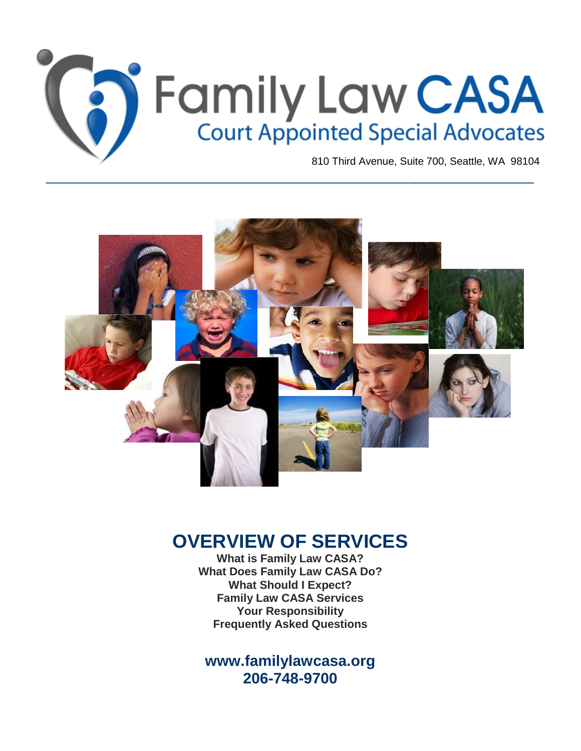

# **OVERVIEW OF SERVICES**

**What is Family Law CASA? What Does Family Law CASA Do? What Should I Expect? Family Law CASA Services Your Responsibility Frequently Asked Questions**

**[www.familylawcasa.org](http://www.familylawcasa.org/) 206-748-9700**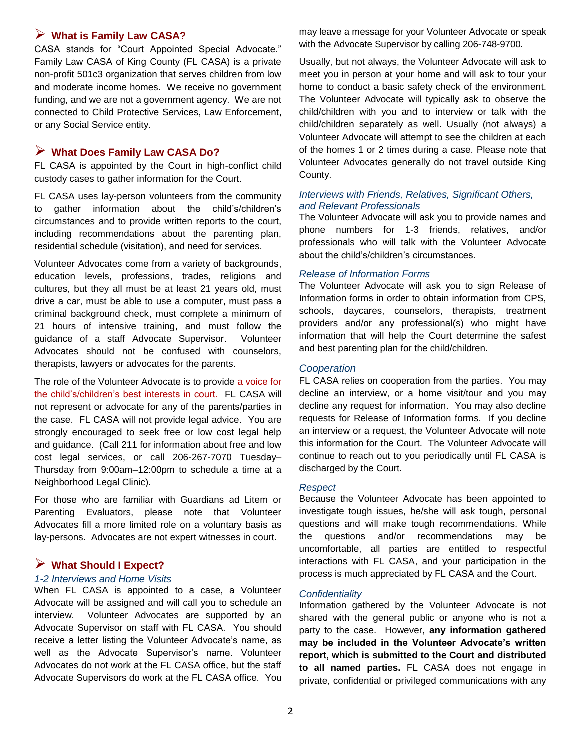# **What is Family Law CASA?**

CASA stands for "Court Appointed Special Advocate." Family Law CASA of King County (FL CASA) is a private non-profit 501c3 organization that serves children from low and moderate income homes. We receive no government funding, and we are not a government agency. We are not connected to Child Protective Services, Law Enforcement, or any Social Service entity.

# **What Does Family Law CASA Do?**

FL CASA is appointed by the Court in high-conflict child custody cases to gather information for the Court.

FL CASA uses lay-person volunteers from the community to gather information about the child's/children's circumstances and to provide written reports to the court, including recommendations about the parenting plan, residential schedule (visitation), and need for services.

Volunteer Advocates come from a variety of backgrounds, education levels, professions, trades, religions and cultures, but they all must be at least 21 years old, must drive a car, must be able to use a computer, must pass a criminal background check, must complete a minimum of 21 hours of intensive training, and must follow the guidance of a staff Advocate Supervisor. Volunteer Advocates should not be confused with counselors, therapists, lawyers or advocates for the parents.

The role of the Volunteer Advocate is to provide a voice for the child's/children's best interests in court. FL CASA will not represent or advocate for any of the parents/parties in the case. FL CASA will not provide legal advice. You are strongly encouraged to seek free or low cost legal help and guidance. (Call 211 for information about free and low cost legal services, or call 206-267-7070 Tuesday– Thursday from 9:00am–12:00pm to schedule a time at a Neighborhood Legal Clinic).

For those who are familiar with Guardians ad Litem or Parenting Evaluators, please note that Volunteer Advocates fill a more limited role on a voluntary basis as lay-persons. Advocates are not expert witnesses in court.

# **What Should I Expect?**

#### *1-2 Interviews and Home Visits*

When FL CASA is appointed to a case, a Volunteer Advocate will be assigned and will call you to schedule an interview. Volunteer Advocates are supported by an Advocate Supervisor on staff with FL CASA. You should receive a letter listing the Volunteer Advocate's name, as well as the Advocate Supervisor's name. Volunteer Advocates do not work at the FL CASA office, but the staff Advocate Supervisors do work at the FL CASA office. You may leave a message for your Volunteer Advocate or speak with the Advocate Supervisor by calling 206-748-9700.

Usually, but not always, the Volunteer Advocate will ask to meet you in person at your home and will ask to tour your home to conduct a basic safety check of the environment. The Volunteer Advocate will typically ask to observe the child/children with you and to interview or talk with the child/children separately as well. Usually (not always) a Volunteer Advocate will attempt to see the children at each of the homes 1 or 2 times during a case. Please note that Volunteer Advocates generally do not travel outside King County.

# *Interviews with Friends, Relatives, Significant Others, and Relevant Professionals*

The Volunteer Advocate will ask you to provide names and phone numbers for 1-3 friends, relatives, and/or professionals who will talk with the Volunteer Advocate about the child's/children's circumstances.

## *Release of Information Forms*

The Volunteer Advocate will ask you to sign Release of Information forms in order to obtain information from CPS, schools, daycares, counselors, therapists, treatment providers and/or any professional(s) who might have information that will help the Court determine the safest and best parenting plan for the child/children.

## *Cooperation*

FL CASA relies on cooperation from the parties. You may decline an interview, or a home visit/tour and you may decline any request for information. You may also decline requests for Release of Information forms. If you decline an interview or a request, the Volunteer Advocate will note this information for the Court. The Volunteer Advocate will continue to reach out to you periodically until FL CASA is discharged by the Court.

## *Respect*

Because the Volunteer Advocate has been appointed to investigate tough issues, he/she will ask tough, personal questions and will make tough recommendations. While the questions and/or recommendations may be uncomfortable, all parties are entitled to respectful interactions with FL CASA, and your participation in the process is much appreciated by FL CASA and the Court.

# *Confidentiality*

Information gathered by the Volunteer Advocate is not shared with the general public or anyone who is not a party to the case. However, **any information gathered may be included in the Volunteer Advocate's written report, which is submitted to the Court and distributed to all named parties.** FL CASA does not engage in private, confidential or privileged communications with any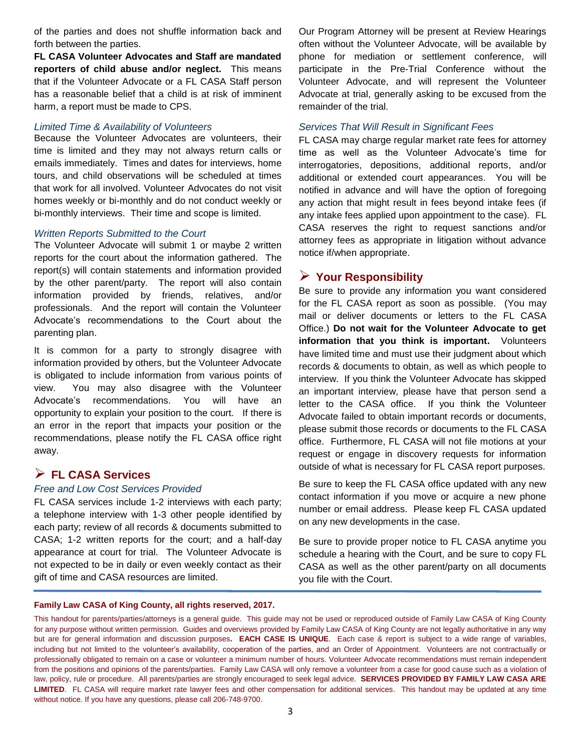of the parties and does not shuffle information back and forth between the parties.

**FL CASA Volunteer Advocates and Staff are mandated reporters of child abuse and/or neglect.** This means that if the Volunteer Advocate or a FL CASA Staff person has a reasonable belief that a child is at risk of imminent harm, a report must be made to CPS.

## *Limited Time & Availability of Volunteers*

Because the Volunteer Advocates are volunteers, their time is limited and they may not always return calls or emails immediately. Times and dates for interviews, home tours, and child observations will be scheduled at times that work for all involved. Volunteer Advocates do not visit homes weekly or bi-monthly and do not conduct weekly or bi-monthly interviews. Their time and scope is limited.

## *Written Reports Submitted to the Court*

The Volunteer Advocate will submit 1 or maybe 2 written reports for the court about the information gathered. The report(s) will contain statements and information provided by the other parent/party. The report will also contain information provided by friends, relatives, and/or professionals. And the report will contain the Volunteer Advocate's recommendations to the Court about the parenting plan.

It is common for a party to strongly disagree with information provided by others, but the Volunteer Advocate is obligated to include information from various points of view. You may also disagree with the Volunteer Advocate's recommendations. You will have an opportunity to explain your position to the court. If there is an error in the report that impacts your position or the recommendations, please notify the FL CASA office right away.

# **FL CASA Services**

## *Free and Low Cost Services Provided*

FL CASA services include 1-2 interviews with each party; a telephone interview with 1-3 other people identified by each party; review of all records & documents submitted to CASA; 1-2 written reports for the court; and a half-day appearance at court for trial. The Volunteer Advocate is not expected to be in daily or even weekly contact as their gift of time and CASA resources are limited.

Our Program Attorney will be present at Review Hearings often without the Volunteer Advocate, will be available by phone for mediation or settlement conference, will participate in the Pre-Trial Conference without the Volunteer Advocate, and will represent the Volunteer Advocate at trial, generally asking to be excused from the remainder of the trial.

#### *Services That Will Result in Significant Fees*

FL CASA may charge regular market rate fees for attorney time as well as the Volunteer Advocate's time for interrogatories, depositions, additional reports, and/or additional or extended court appearances. You will be notified in advance and will have the option of foregoing any action that might result in fees beyond intake fees (if any intake fees applied upon appointment to the case). FL CASA reserves the right to request sanctions and/or attorney fees as appropriate in litigation without advance notice if/when appropriate.

# **Your Responsibility**

Be sure to provide any information you want considered for the FL CASA report as soon as possible. (You may mail or deliver documents or letters to the FL CASA Office.) **Do not wait for the Volunteer Advocate to get information that you think is important.** Volunteers have limited time and must use their judgment about which records & documents to obtain, as well as which people to interview. If you think the Volunteer Advocate has skipped an important interview, please have that person send a letter to the CASA office. If you think the Volunteer Advocate failed to obtain important records or documents, please submit those records or documents to the FL CASA office. Furthermore, FL CASA will not file motions at your request or engage in discovery requests for information outside of what is necessary for FL CASA report purposes.

Be sure to keep the FL CASA office updated with any new contact information if you move or acquire a new phone number or email address. Please keep FL CASA updated on any new developments in the case.

Be sure to provide proper notice to FL CASA anytime you schedule a hearing with the Court, and be sure to copy FL CASA as well as the other parent/party on all documents you file with the Court.

#### **Family Law CASA of King County, all rights reserved, 2017.**

This handout for parents/parties/attorneys is a general guide. This guide may not be used or reproduced outside of Family Law CASA of King County for any purpose without written permission. Guides and overviews provided by Family Law CASA of King County are not legally authoritative in any way but are for general information and discussion purposes**. EACH CASE IS UNIQUE**. Each case & report is subject to a wide range of variables, including but not limited to the volunteer's availability, cooperation of the parties, and an Order of Appointment. Volunteers are not contractually or professionally obligated to remain on a case or volunteer a minimum number of hours. Volunteer Advocate recommendations must remain independent from the positions and opinions of the parents/parties. Family Law CASA will only remove a volunteer from a case for good cause such as a violation of law, policy, rule or procedure. All parents/parties are strongly encouraged to seek legal advice. **SERVICES PROVIDED BY FAMILY LAW CASA ARE LIMITED**. FL CASA will require market rate lawyer fees and other compensation for additional services. This handout may be updated at any time without notice. If you have any questions, please call 206-748-9700.